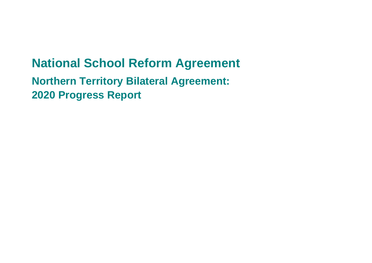# **National School Reform Agreement**

**Northern Territory Bilateral Agreement: 2020 Progress Report**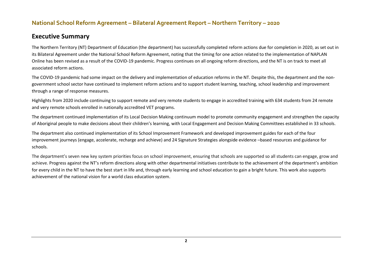#### **Executive Summary**

The Northern Territory (NT) Department of Education (the department) has successfully completed reform actions due for completion in 2020, as set out in its Bilateral Agreement under the National School Reform Agreement, noting that the timing for one action related to the implementation of NAPLAN Online has been revised as a result of the COVID-19 pandemic. Progress continues on all ongoing reform directions, and the NT is on track to meet all associated reform actions.

The COVID-19 pandemic had some impact on the delivery and implementation of education reforms in the NT. Despite this, the department and the nongovernment school sector have continued to implement reform actions and to support student learning, teaching, school leadership and improvement through a range of response measures.

Highlights from 2020 include continuing to support remote and very remote students to engage in accredited training with 634 students from 24 remote and very remote schools enrolled in nationally accredited VET programs.

The department continued implementation of its Local Decision Making continuum model to promote community engagement and strengthen the capacity of Aboriginal people to make decisions about their children's learning, with Local Engagement and Decision Making Committees established in 33 schools.

The department also continued implementation of its School Improvement Framework and developed improvement guides for each of the four improvement journeys (engage, accelerate, recharge and achieve) and 24 Signature Strategies alongside evidence –based resources and guidance for schools.

The department's seven new key system priorities focus on school improvement, ensuring that schools are supported so all students can engage, grow and achieve. Progress against the NT's reform directions along with other departmental initiatives contribute to the achievement of the department's ambition for every child in the NT to have the best start in life and, through early learning and school education to gain a bright future. This work also supports achievement of the national vision for a world class education system.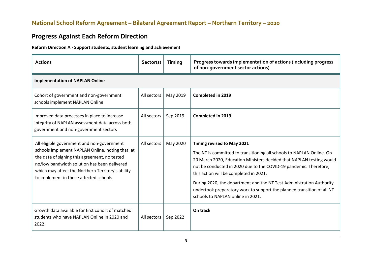# **Progress Against Each Reform Direction**

#### **Reform Direction A - Support students, student learning and achievement**

| <b>Actions</b>                                                                                                                                                                                                                                                                                  | Sector(s)   | Timing   | Progress towards implementation of actions (including progress<br>of non-government sector actions)                                                                                                                                                                                                                                                                                                                                                                               |
|-------------------------------------------------------------------------------------------------------------------------------------------------------------------------------------------------------------------------------------------------------------------------------------------------|-------------|----------|-----------------------------------------------------------------------------------------------------------------------------------------------------------------------------------------------------------------------------------------------------------------------------------------------------------------------------------------------------------------------------------------------------------------------------------------------------------------------------------|
| <b>Implementation of NAPLAN Online</b>                                                                                                                                                                                                                                                          |             |          |                                                                                                                                                                                                                                                                                                                                                                                                                                                                                   |
| Cohort of government and non-government<br>schools implement NAPLAN Online                                                                                                                                                                                                                      | All sectors | May 2019 | <b>Completed in 2019</b>                                                                                                                                                                                                                                                                                                                                                                                                                                                          |
| Improved data processes in place to increase<br>integrity of NAPLAN assessment data across both<br>government and non-government sectors                                                                                                                                                        | All sectors | Sep 2019 | <b>Completed in 2019</b>                                                                                                                                                                                                                                                                                                                                                                                                                                                          |
| All eligible government and non-government<br>schools implement NAPLAN Online, noting that, at<br>the date of signing this agreement, no tested<br>no/low bandwidth solution has been delivered<br>which may affect the Northern Territory's ability<br>to implement in those affected schools. | All sectors | May 2020 | Timing revised to May 2021<br>The NT is committed to transitioning all schools to NAPLAN Online. On<br>20 March 2020, Education Ministers decided that NAPLAN testing would<br>not be conducted in 2020 due to the COVID-19 pandemic. Therefore,<br>this action will be completed in 2021.<br>During 2020, the department and the NT Test Administration Authority<br>undertook preparatory work to support the planned transition of all NT<br>schools to NAPLAN online in 2021. |
| Growth data available for first cohort of matched<br>students who have NAPLAN Online in 2020 and<br>2022                                                                                                                                                                                        | All sectors | Sep 2022 | On track                                                                                                                                                                                                                                                                                                                                                                                                                                                                          |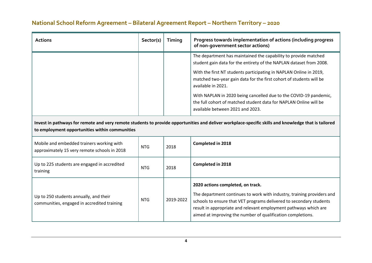| <b>Actions</b>                                                                                                                                                                                         | Sector(s)  | Timing    | Progress towards implementation of actions (including progress<br>of non-government sector actions)                                                                                                                                                                                                                   |  |  |
|--------------------------------------------------------------------------------------------------------------------------------------------------------------------------------------------------------|------------|-----------|-----------------------------------------------------------------------------------------------------------------------------------------------------------------------------------------------------------------------------------------------------------------------------------------------------------------------|--|--|
|                                                                                                                                                                                                        |            |           | The department has maintained the capability to provide matched<br>student gain data for the entirety of the NAPLAN dataset from 2008.                                                                                                                                                                                |  |  |
|                                                                                                                                                                                                        |            |           | With the first NT students participating in NAPLAN Online in 2019,<br>matched two-year gain data for the first cohort of students will be<br>available in 2021.                                                                                                                                                       |  |  |
|                                                                                                                                                                                                        |            |           | With NAPLAN in 2020 being cancelled due to the COVID-19 pandemic,<br>the full cohort of matched student data for NAPLAN Online will be<br>available between 2021 and 2023.                                                                                                                                            |  |  |
| Invest in pathways for remote and very remote students to provide opportunities and deliver workplace-specific skills and knowledge that is tailored<br>to employment opportunities within communities |            |           |                                                                                                                                                                                                                                                                                                                       |  |  |
| Mobile and embedded trainers working with<br>approximately 15 very remote schools in 2018                                                                                                              | <b>NTG</b> | 2018      | <b>Completed in 2018</b>                                                                                                                                                                                                                                                                                              |  |  |
| Up to 225 students are engaged in accredited<br>training                                                                                                                                               | <b>NTG</b> | 2018      | <b>Completed in 2018</b>                                                                                                                                                                                                                                                                                              |  |  |
| Up to 250 students annually, and their<br>communities, engaged in accredited training                                                                                                                  | <b>NTG</b> | 2019-2022 | 2020 actions completed, on track.<br>The department continues to work with industry, training providers and<br>schools to ensure that VET programs delivered to secondary students<br>result in appropriate and relevant employment pathways which are<br>aimed at improving the number of qualification completions. |  |  |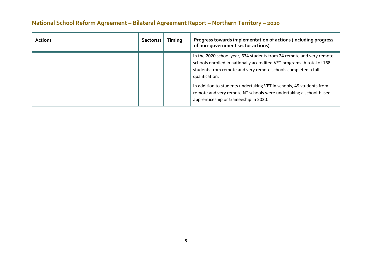| <b>Actions</b> | Sector(s) | Timing | Progress towards implementation of actions (including progress<br>of non-government sector actions)                                                                                                                                                                                                                                                                                                                      |
|----------------|-----------|--------|--------------------------------------------------------------------------------------------------------------------------------------------------------------------------------------------------------------------------------------------------------------------------------------------------------------------------------------------------------------------------------------------------------------------------|
|                |           |        | In the 2020 school year, 634 students from 24 remote and very remote<br>schools enrolled in nationally accredited VET programs. A total of 168<br>students from remote and very remote schools completed a full<br>qualification.<br>In addition to students undertaking VET in schools, 49 students from<br>remote and very remote NT schools were undertaking a school-based<br>apprenticeship or traineeship in 2020. |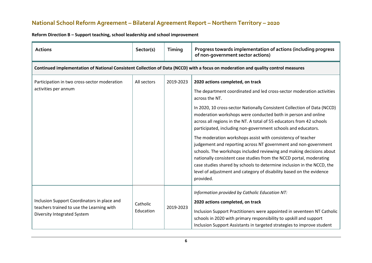| <b>Actions</b>                                                                                                          | Sector(s)                                                                                                                         | Timing    | Progress towards implementation of actions (including progress<br>of non-government sector actions)                                                                                                                                                                                                                                                                                                                                                                                                                                                                                                                                                                                                                                                                                                                                                                |  |  |  |
|-------------------------------------------------------------------------------------------------------------------------|-----------------------------------------------------------------------------------------------------------------------------------|-----------|--------------------------------------------------------------------------------------------------------------------------------------------------------------------------------------------------------------------------------------------------------------------------------------------------------------------------------------------------------------------------------------------------------------------------------------------------------------------------------------------------------------------------------------------------------------------------------------------------------------------------------------------------------------------------------------------------------------------------------------------------------------------------------------------------------------------------------------------------------------------|--|--|--|
|                                                                                                                         | Continued implementation of National Consistent Collection of Data (NCCD) with a focus on moderation and quality control measures |           |                                                                                                                                                                                                                                                                                                                                                                                                                                                                                                                                                                                                                                                                                                                                                                                                                                                                    |  |  |  |
| Participation in two cross-sector moderation<br>activities per annum                                                    | All sectors                                                                                                                       | 2019-2023 | 2020 actions completed, on track<br>The department coordinated and led cross-sector moderation activities<br>across the NT.<br>In 2020, 10 cross-sector Nationally Consistent Collection of Data (NCCD)<br>moderation workshops were conducted both in person and online<br>across all regions in the NT. A total of 55 educators from 42 schools<br>participated, including non-government schools and educators.<br>The moderation workshops assist with consistency of teacher<br>judgement and reporting across NT government and non-government<br>schools. The workshops included reviewing and making decisions about<br>nationally consistent case studies from the NCCD portal, moderating<br>case studies shared by schools to determine inclusion in the NCCD, the<br>level of adjustment and category of disability based on the evidence<br>provided. |  |  |  |
| Inclusion Support Coordinators in place and<br>teachers trained to use the Learning with<br>Diversity Integrated System | Catholic<br>Education                                                                                                             | 2019-2023 | Information provided by Catholic Education NT:<br>2020 actions completed, on track<br>Inclusion Support Practitioners were appointed in seventeen NT Catholic<br>schools in 2020 with primary responsibility to upskill and support<br>Inclusion Support Assistants in targeted strategies to improve student                                                                                                                                                                                                                                                                                                                                                                                                                                                                                                                                                      |  |  |  |

**Reform Direction B – Support teaching, school leadership and school improvement**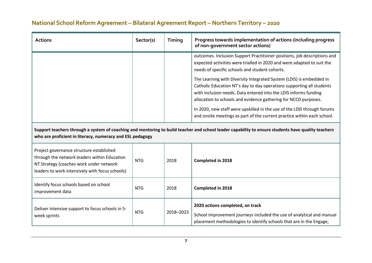| <b>Actions</b>                                                                                                                                                                                                  | Sector(s)  | Timing    | Progress towards implementation of actions (including progress<br>of non-government sector actions)                                                                                                                                                                                                                                                                                                                                       |  |  |
|-----------------------------------------------------------------------------------------------------------------------------------------------------------------------------------------------------------------|------------|-----------|-------------------------------------------------------------------------------------------------------------------------------------------------------------------------------------------------------------------------------------------------------------------------------------------------------------------------------------------------------------------------------------------------------------------------------------------|--|--|
|                                                                                                                                                                                                                 |            |           | outcomes. Inclusion Support Practitioner positions, job descriptions and<br>expected activities were trialled in 2020 and were adapted to suit the<br>needs of specific schools and student cohorts.                                                                                                                                                                                                                                      |  |  |
|                                                                                                                                                                                                                 |            |           | The Learning with Diversity Integrated System (LDIS) is embedded in<br>Catholic Education NT's day to day operations supporting all students<br>with inclusion needs. Data entered into the LDIS informs funding<br>allocation to schools and evidence gathering for NCCD purposes.<br>In 2020, new staff were upskilled in the use of the LDIS through forums<br>and onsite meetings as part of the current practice within each school. |  |  |
| Support teachers through a system of coaching and mentoring to build teacher and school leader capability to ensure students have quality teachers<br>who are proficient in literacy, numeracy and ESL pedagogy |            |           |                                                                                                                                                                                                                                                                                                                                                                                                                                           |  |  |
| Project governance structure established<br>through the network leaders within Education<br>NT Strategy (coaches work under network<br>leaders to work intensively with focus schools)                          | <b>NTG</b> | 2018      | <b>Completed in 2018</b>                                                                                                                                                                                                                                                                                                                                                                                                                  |  |  |
| Identify focus schools based on school<br>improvement data                                                                                                                                                      | <b>NTG</b> | 2018      | Completed in 2018                                                                                                                                                                                                                                                                                                                                                                                                                         |  |  |
| Deliver intensive support to focus schools in 5-<br>week sprints                                                                                                                                                | <b>NTG</b> | 2018-2023 | 2020 actions completed, on track<br>School improvement journeys included the use of analytical and manual<br>placement methodologies to identify schools that are in the Engage,                                                                                                                                                                                                                                                          |  |  |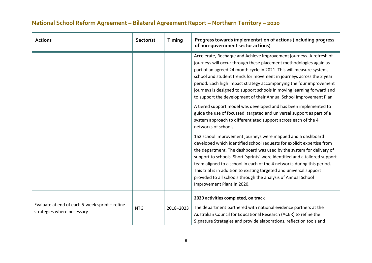| <b>Actions</b>                                                               | Sector(s)  | Timing    | Progress towards implementation of actions (including progress<br>of non-government sector actions)                                                                                                                                                                                                                                                                                                                                                                                                                                                                                                                                                                                                                                                      |
|------------------------------------------------------------------------------|------------|-----------|----------------------------------------------------------------------------------------------------------------------------------------------------------------------------------------------------------------------------------------------------------------------------------------------------------------------------------------------------------------------------------------------------------------------------------------------------------------------------------------------------------------------------------------------------------------------------------------------------------------------------------------------------------------------------------------------------------------------------------------------------------|
|                                                                              |            |           | Accelerate, Recharge and Achieve improvement journeys. A refresh of<br>journeys will occur through these placement methodologies again as<br>part of an agreed 24 month cycle in 2021. This will measure system,<br>school and student trends for movement in journeys across the 2 year<br>period. Each high impact strategy accompanying the four improvement<br>journeys is designed to support schools in moving learning forward and<br>to support the development of their Annual School Improvement Plan.<br>A tiered support model was developed and has been implemented to<br>guide the use of focussed, targeted and universal support as part of a<br>system approach to differentiated support across each of the 4<br>networks of schools. |
|                                                                              |            |           | 152 school improvement journeys were mapped and a dashboard<br>developed which identified school requests for explicit expertise from<br>the department. The dashboard was used by the system for delivery of<br>support to schools. Short 'sprints' were identified and a tailored support<br>team aligned to a school in each of the 4 networks during this period.<br>This trial is in addition to existing targeted and universal support<br>provided to all schools through the analysis of Annual School<br>Improvement Plans in 2020.                                                                                                                                                                                                             |
| Evaluate at end of each 5-week sprint - refine<br>strategies where necessary | <b>NTG</b> | 2018-2023 | 2020 activities completed, on track<br>The department partnered with national evidence partners at the<br>Australian Council for Educational Research (ACER) to refine the<br>Signature Strategies and provide elaborations, reflection tools and                                                                                                                                                                                                                                                                                                                                                                                                                                                                                                        |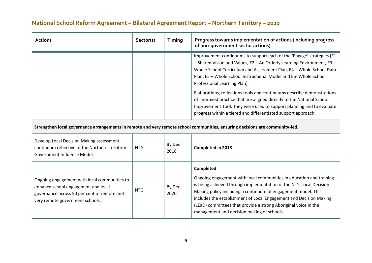| <b>Actions</b>                                                                                                                                                                                                                                                                                                                                                                                                                                                                                                                                                                                                                                                                                                                                         | Sector(s)  | Timing         | Progress towards implementation of actions (including progress<br>of non-government sector actions)                                                                                                                                                                                                                                                                                                |  |
|--------------------------------------------------------------------------------------------------------------------------------------------------------------------------------------------------------------------------------------------------------------------------------------------------------------------------------------------------------------------------------------------------------------------------------------------------------------------------------------------------------------------------------------------------------------------------------------------------------------------------------------------------------------------------------------------------------------------------------------------------------|------------|----------------|----------------------------------------------------------------------------------------------------------------------------------------------------------------------------------------------------------------------------------------------------------------------------------------------------------------------------------------------------------------------------------------------------|--|
| improvement continuums to support each of the 'Engage' strategies (E1<br>- Shared Vision and Values, E2 - An Orderly Learning Environment, E3 -<br>Whole School Curriculum and Assessment Plan, E4 - Whole School Data<br>Plan, E5 - Whole School Instructional Model and E6- Whole School<br>Professional Learning Plan).<br>Elaborations, reflections tools and continuums describe demonstrations<br>of improved practice that are aligned directly to the National School<br>Improvement Tool. They were used to support planning and to evaluate<br>progress within a tiered and differentiated support approach.<br>Strengthen local governance arrangements in remote and very remote school communities, ensuring decisions are community-led. |            |                |                                                                                                                                                                                                                                                                                                                                                                                                    |  |
|                                                                                                                                                                                                                                                                                                                                                                                                                                                                                                                                                                                                                                                                                                                                                        |            |                |                                                                                                                                                                                                                                                                                                                                                                                                    |  |
| Develop Local Decision Making assessment<br>continuum reflective of the Northern Territory<br>Government Influence Model                                                                                                                                                                                                                                                                                                                                                                                                                                                                                                                                                                                                                               | <b>NTG</b> | By Dec<br>2018 | <b>Completed in 2018</b>                                                                                                                                                                                                                                                                                                                                                                           |  |
|                                                                                                                                                                                                                                                                                                                                                                                                                                                                                                                                                                                                                                                                                                                                                        |            |                | Completed                                                                                                                                                                                                                                                                                                                                                                                          |  |
| Ongoing engagement with local communities to<br>enhance school engagement and local<br>governance across 50 per cent of remote and<br>very remote government schools.                                                                                                                                                                                                                                                                                                                                                                                                                                                                                                                                                                                  | <b>NTG</b> | By Dec<br>2020 | Ongoing engagement with local communities in education and training<br>is being achieved through implementation of the NT's Local Decision<br>Making policy including a continuum of engagement model. This<br>includes the establishment of Local Engagement and Decision Making<br>(LEaD) committees that provide a strong Aboriginal voice in the<br>management and decision making of schools. |  |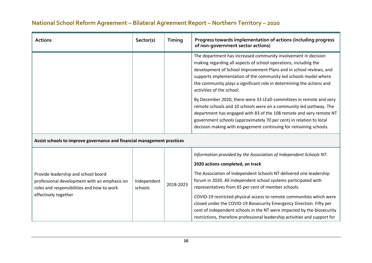| <b>Actions</b>                                                                                                                                            | Sector(s)              | Timing    | Progress towards implementation of actions (including progress<br>of non-government sector actions)                                                                                                                                                                                                                                                                                                                                                                                                                                                                                                                                                                                                                                               |
|-----------------------------------------------------------------------------------------------------------------------------------------------------------|------------------------|-----------|---------------------------------------------------------------------------------------------------------------------------------------------------------------------------------------------------------------------------------------------------------------------------------------------------------------------------------------------------------------------------------------------------------------------------------------------------------------------------------------------------------------------------------------------------------------------------------------------------------------------------------------------------------------------------------------------------------------------------------------------------|
|                                                                                                                                                           |                        |           | The department has increased community involvement in decision<br>making regarding all aspects of school operations, including the<br>development of School Improvement Plans and in school reviews, and<br>supports implementation of the community led schools model where<br>the community plays a significant role in determining the actions and<br>activities of the school.<br>By December 2020, there were 33 LEaD committees in remote and very<br>remote schools and 10 schools were on a community led pathway. The<br>department has engaged with 83 of the 108 remote and very remote NT<br>government schools (approximately 70 per cent) in relation to local<br>decision making with engagement continuing for remaining schools. |
| Assist schools to improve governance and financial management practices                                                                                   |                        |           |                                                                                                                                                                                                                                                                                                                                                                                                                                                                                                                                                                                                                                                                                                                                                   |
| Provide leadership and school board<br>professional development with an emphasis on<br>roles and responsibilities and how to work<br>effectively together | Independent<br>schools | 2018-2023 | Information provided by the Association of Independent Schools NT:<br>2020 actions completed, on track<br>The Association of Independent Schools NT delivered one leadership<br>forum in 2020. All independent school systems participated with<br>representatives from 65 per cent of member schools.<br>COVID-19 restricted physical access to remote communities which were<br>closed under the COVID-19 Biosecurity Emergency Direction. Fifty per<br>cent of independent schools in the NT were impacted by the biosecurity<br>restrictions, therefore professional leadership activities and support for                                                                                                                                    |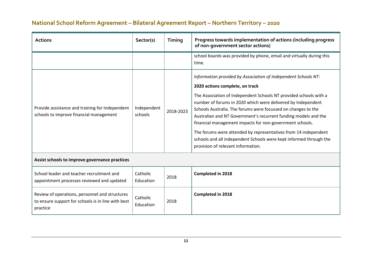| <b>Actions</b>                                                                                                   | Sector(s)              | Timing    | Progress towards implementation of actions (including progress<br>of non-government sector actions)                                                                                                                                                                                                                                                                                                                                                                                                                                                                                                                   |  |  |
|------------------------------------------------------------------------------------------------------------------|------------------------|-----------|-----------------------------------------------------------------------------------------------------------------------------------------------------------------------------------------------------------------------------------------------------------------------------------------------------------------------------------------------------------------------------------------------------------------------------------------------------------------------------------------------------------------------------------------------------------------------------------------------------------------------|--|--|
|                                                                                                                  |                        |           | school boards was provided by phone, email and virtually during this<br>time.                                                                                                                                                                                                                                                                                                                                                                                                                                                                                                                                         |  |  |
| Provide assistance and training for Independent<br>schools to improve financial management                       | Independent<br>schools | 2018-2023 | Information provided by Association of Independent Schools NT:<br>2020 actions complete, on track<br>The Association of Independent Schools NT provided schools with a<br>number of forums in 2020 which were delivered by Independent<br>Schools Australia. The forums were focussed on changes to the<br>Australian and NT Government's recurrent funding models and the<br>financial management impacts for non-government schools.<br>The forums were attended by representatives from 14 independent<br>schools and all independent Schools were kept informed through the<br>provision of relevant information. |  |  |
| Assist schools to improve governance practices                                                                   |                        |           |                                                                                                                                                                                                                                                                                                                                                                                                                                                                                                                                                                                                                       |  |  |
| School leader and teacher recruitment and<br>appointment processes reviewed and updated                          | Catholic<br>Education  | 2018      | <b>Completed in 2018</b>                                                                                                                                                                                                                                                                                                                                                                                                                                                                                                                                                                                              |  |  |
| Review of operations, personnel and structures<br>to ensure support for schools is in line with best<br>practice | Catholic<br>Education  | 2018      | <b>Completed in 2018</b>                                                                                                                                                                                                                                                                                                                                                                                                                                                                                                                                                                                              |  |  |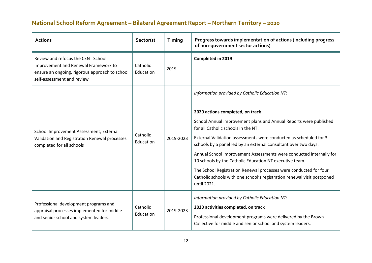| <b>Actions</b>                                                                                                                                             | Sector(s)             | <b>Timing</b> | Progress towards implementation of actions (including progress<br>of non-government sector actions)                                                                                                                                                                                                                                                                                                                                                                                                                                                                                                                                     |
|------------------------------------------------------------------------------------------------------------------------------------------------------------|-----------------------|---------------|-----------------------------------------------------------------------------------------------------------------------------------------------------------------------------------------------------------------------------------------------------------------------------------------------------------------------------------------------------------------------------------------------------------------------------------------------------------------------------------------------------------------------------------------------------------------------------------------------------------------------------------------|
| Review and refocus the CENT School<br>Improvement and Renewal Framework to<br>ensure an ongoing, rigorous approach to school<br>self-assessment and review | Catholic<br>Education | 2019          | Completed in 2019                                                                                                                                                                                                                                                                                                                                                                                                                                                                                                                                                                                                                       |
| School Improvement Assessment, External<br>Validation and Registration Renewal processes<br>completed for all schools                                      | Catholic<br>Education | 2019-2023     | Information provided by Catholic Education NT:<br>2020 actions completed, on track<br>School Annual improvement plans and Annual Reports were published<br>for all Catholic schools in the NT.<br>External Validation assessments were conducted as scheduled for 3<br>schools by a panel led by an external consultant over two days.<br>Annual School Improvement Assessments were conducted internally for<br>10 schools by the Catholic Education NT executive team.<br>The School Registration Renewal processes were conducted for four<br>Catholic schools with one school's registration renewal visit postponed<br>until 2021. |
| Professional development programs and<br>appraisal processes implemented for middle<br>and senior school and system leaders.                               | Catholic<br>Education | 2019-2023     | Information provided by Catholic Education NT:<br>2020 activities completed, on track<br>Professional development programs were delivered by the Brown<br>Collective for middle and senior school and system leaders.                                                                                                                                                                                                                                                                                                                                                                                                                   |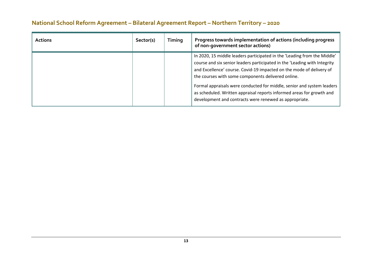| <b>Actions</b> | Sector(s) | Timing | Progress towards implementation of actions (including progress<br>of non-government sector actions)                                                                                                                                                                                                                                                                                                                                                                                              |
|----------------|-----------|--------|--------------------------------------------------------------------------------------------------------------------------------------------------------------------------------------------------------------------------------------------------------------------------------------------------------------------------------------------------------------------------------------------------------------------------------------------------------------------------------------------------|
|                |           |        | In 2020, 15 middle leaders participated in the 'Leading from the Middle'<br>course and six senior leaders participated in the 'Leading with Integrity<br>and Excellence' course. Covid-19 impacted on the mode of delivery of<br>the courses with some components delivered online.<br>Formal appraisals were conducted for middle, senior and system leaders<br>as scheduled. Written appraisal reports informed areas for growth and<br>development and contracts were renewed as appropriate. |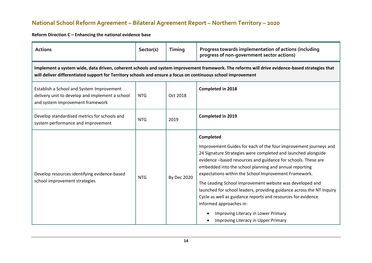#### **Reform Direction C – Enhancing the national evidence base**

| <b>Actions</b>                                                                                                                                                                                                                                                  | Sector(s)  | Timing             | Progress towards implementation of actions (including<br>progress of non-government sector actions)                                                                                                                                                                                                                                                                                                                                                                                                                                                                                                                                                     |  |  |
|-----------------------------------------------------------------------------------------------------------------------------------------------------------------------------------------------------------------------------------------------------------------|------------|--------------------|---------------------------------------------------------------------------------------------------------------------------------------------------------------------------------------------------------------------------------------------------------------------------------------------------------------------------------------------------------------------------------------------------------------------------------------------------------------------------------------------------------------------------------------------------------------------------------------------------------------------------------------------------------|--|--|
| Implement a system wide, data driven, coherent schools and system improvement framework. The reforms will drive evidence-based strategies that<br>will deliver differentiated support for Territory schools and ensure a focus on continuous school improvement |            |                    |                                                                                                                                                                                                                                                                                                                                                                                                                                                                                                                                                                                                                                                         |  |  |
| Establish a School and System Improvement<br>delivery unit to develop and implement a school<br>and system improvement framework                                                                                                                                | <b>NTG</b> | Oct 2018           | Completed in 2018                                                                                                                                                                                                                                                                                                                                                                                                                                                                                                                                                                                                                                       |  |  |
| Develop standardised metrics for schools and<br>system performance and improvement                                                                                                                                                                              | <b>NTG</b> | 2019               | <b>Completed in 2019</b>                                                                                                                                                                                                                                                                                                                                                                                                                                                                                                                                                                                                                                |  |  |
| Develop resources identifying evidence-based<br>school improvement strategies                                                                                                                                                                                   | <b>NTG</b> | <b>By Dec 2020</b> | <b>Completed</b><br>Improvement Guides for each of the four improvement journeys and<br>24 Signature Strategies were completed and launched alongside<br>evidence -based resources and guidance for schools. These are<br>embedded into the school planning and annual reporting<br>expectations within the School Improvement Framework.<br>The Leading School Improvement website was developed and<br>launched for school leaders, providing guidance across the NT Inquiry<br>Cycle as well as guidance reports and resources for evidence<br>informed approaches in:<br>Improving Literacy in Lower Primary<br>Improving Literacy in Upper Primary |  |  |